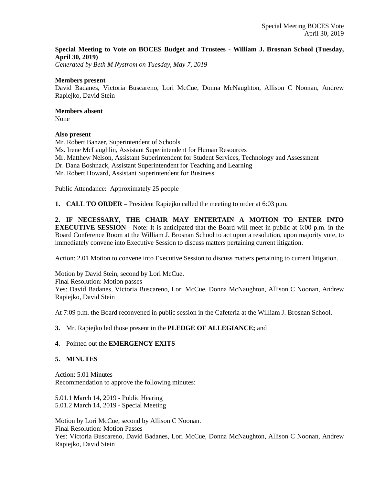## **Special Meeting to Vote on BOCES Budget and Trustees - William J. Brosnan School (Tuesday, April 30, 2019)**

*Generated by Beth M Nystrom on Tuesday, May 7, 2019*

#### **Members present**

David Badanes, Victoria Buscareno, Lori McCue, Donna McNaughton, Allison C Noonan, Andrew Rapiejko, David Stein

## **Members absent**

None

## **Also present**

Mr. Robert Banzer, Superintendent of Schools Ms. Irene McLaughlin, Assistant Superintendent for Human Resources Mr. Matthew Nelson, Assistant Superintendent for Student Services, Technology and Assessment Dr. Dana Boshnack, Assistant Superintendent for Teaching and Learning Mr. Robert Howard, Assistant Superintendent for Business

Public Attendance: Approximately 25 people

**1. CALL TO ORDER** – President Rapiejko called the meeting to order at 6:03 p.m.

**2. IF NECESSARY, THE CHAIR MAY ENTERTAIN A MOTION TO ENTER INTO EXECUTIVE SESSION** - Note: It is anticipated that the Board will meet in public at 6:00 p.m. in the Board Conference Room at the William J. Brosnan School to act upon a resolution, upon majority vote, to immediately convene into Executive Session to discuss matters pertaining current litigation.

Action: 2.01 Motion to convene into Executive Session to discuss matters pertaining to current litigation.

Motion by David Stein, second by Lori McCue. Final Resolution: Motion passes Yes: David Badanes, Victoria Buscareno, Lori McCue, Donna McNaughton, Allison C Noonan, Andrew Rapiejko, David Stein

At 7:09 p.m. the Board reconvened in public session in the Cafeteria at the William J. Brosnan School.

## **3.** Mr. Rapiejko led those present in the **PLEDGE OF ALLEGIANCE;** and

## **4.** Pointed out the **EMERGENCY EXITS**

## **5. MINUTES**

Action: 5.01 Minutes Recommendation to approve the following minutes:

5.01.1 March 14, 2019 - Public Hearing 5.01.2 March 14, 2019 - Special Meeting

Motion by Lori McCue, second by Allison C Noonan. Final Resolution: Motion Passes Yes: Victoria Buscareno, David Badanes, Lori McCue, Donna McNaughton, Allison C Noonan, Andrew Rapiejko, David Stein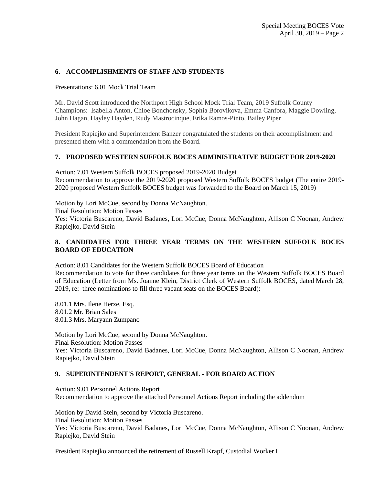## **6. ACCOMPLISHMENTS OF STAFF AND STUDENTS**

Presentations: 6.01 Mock Trial Team

Mr. David Scott introduced the Northport High School Mock Trial Team, 2019 Suffolk County Champions: Isabella Anton, Chloe Bonchonsky, Sophia Borovikova, Emma Canfora, Maggie Dowling, John Hagan, Hayley Hayden, Rudy Mastrocinque, Erika Ramos-Pinto, Bailey Piper

President Rapiejko and Superintendent Banzer congratulated the students on their accomplishment and presented them with a commendation from the Board.

## **7. PROPOSED WESTERN SUFFOLK BOCES ADMINISTRATIVE BUDGET FOR 2019-2020**

Action: 7.01 Western Suffolk BOCES proposed 2019-2020 Budget Recommendation to approve the 2019-2020 proposed Western Suffolk BOCES budget (The entire 2019- 2020 proposed Western Suffolk BOCES budget was forwarded to the Board on March 15, 2019)

Motion by Lori McCue, second by Donna McNaughton.

Final Resolution: Motion Passes

Yes: Victoria Buscareno, David Badanes, Lori McCue, Donna McNaughton, Allison C Noonan, Andrew Rapiejko, David Stein

## **8. CANDIDATES FOR THREE YEAR TERMS ON THE WESTERN SUFFOLK BOCES BOARD OF EDUCATION**

Action: 8.01 Candidates for the Western Suffolk BOCES Board of Education Recommendation to vote for three candidates for three year terms on the Western Suffolk BOCES Board of Education (Letter from Ms. Joanne Klein, District Clerk of Western Suffolk BOCES, dated March 28, 2019, re: three nominations to fill three vacant seats on the BOCES Board):

8.01.1 Mrs. Ilene Herze, Esq. 8.01.2 Mr. Brian Sales 8.01.3 Mrs. Maryann Zumpano

Motion by Lori McCue, second by Donna McNaughton. Final Resolution: Motion Passes Yes: Victoria Buscareno, David Badanes, Lori McCue, Donna McNaughton, Allison C Noonan, Andrew Rapiejko, David Stein

## **9. SUPERINTENDENT'S REPORT, GENERAL - FOR BOARD ACTION**

Action: 9.01 Personnel Actions Report Recommendation to approve the attached Personnel Actions Report including the addendum

Motion by David Stein, second by Victoria Buscareno. Final Resolution: Motion Passes Yes: Victoria Buscareno, David Badanes, Lori McCue, Donna McNaughton, Allison C Noonan, Andrew Rapiejko, David Stein

President Rapiejko announced the retirement of Russell Krapf, Custodial Worker I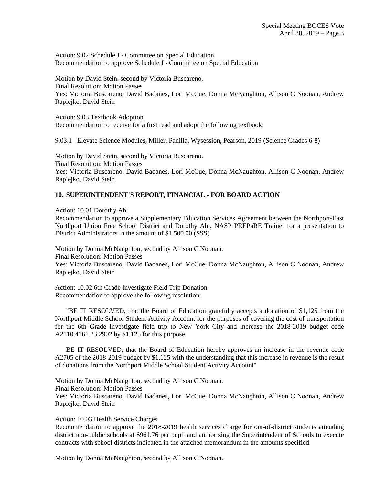Action: 9.02 Schedule J - Committee on Special Education Recommendation to approve Schedule J - Committee on Special Education

Motion by David Stein, second by Victoria Buscareno. Final Resolution: Motion Passes Yes: Victoria Buscareno, David Badanes, Lori McCue, Donna McNaughton, Allison C Noonan, Andrew Rapiejko, David Stein

Action: 9.03 Textbook Adoption Recommendation to receive for a first read and adopt the following textbook:

9.03.1 Elevate Science Modules, Miller, Padilla, Wysession, Pearson, 2019 (Science Grades 6-8)

Motion by David Stein, second by Victoria Buscareno. Final Resolution: Motion Passes Yes: Victoria Buscareno, David Badanes, Lori McCue, Donna McNaughton, Allison C Noonan, Andrew Rapiejko, David Stein

#### **10. SUPERINTENDENT'S REPORT, FINANCIAL - FOR BOARD ACTION**

Action: 10.01 Dorothy Ahl

Recommendation to approve a Supplementary Education Services Agreement between the Northport-East Northport Union Free School District and Dorothy Ahl, NASP PREPaRE Trainer for a presentation to District Administrators in the amount of \$1,500.00 (SSS)

Motion by Donna McNaughton, second by Allison C Noonan. Final Resolution: Motion Passes Yes: Victoria Buscareno, David Badanes, Lori McCue, Donna McNaughton, Allison C Noonan, Andrew Rapiejko, David Stein

Action: 10.02 6th Grade Investigate Field Trip Donation Recommendation to approve the following resolution:

 "BE IT RESOLVED, that the Board of Education gratefully accepts a donation of \$1,125 from the Northport Middle School Student Activity Account for the purposes of covering the cost of transportation for the 6th Grade Investigate field trip to New York City and increase the 2018-2019 budget code A2110.4161.23.2902 by \$1,125 for this purpose.

 BE IT RESOLVED, that the Board of Education hereby approves an increase in the revenue code A2705 of the 2018-2019 budget by \$1,125 with the understanding that this increase in revenue is the result of donations from the Northport Middle School Student Activity Account"

Motion by Donna McNaughton, second by Allison C Noonan. Final Resolution: Motion Passes Yes: Victoria Buscareno, David Badanes, Lori McCue, Donna McNaughton, Allison C Noonan, Andrew Rapiejko, David Stein

Action: 10.03 Health Service Charges

Recommendation to approve the 2018-2019 health services charge for out-of-district students attending district non-public schools at \$961.76 per pupil and authorizing the Superintendent of Schools to execute contracts with school districts indicated in the attached memorandum in the amounts specified.

Motion by Donna McNaughton, second by Allison C Noonan.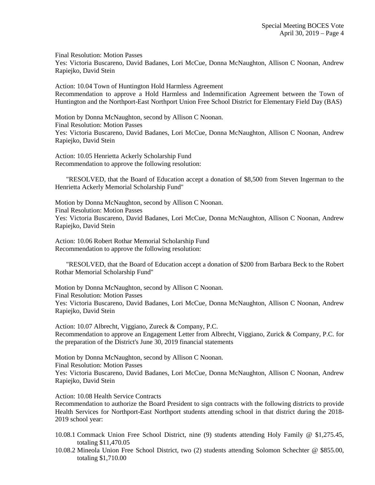Final Resolution: Motion Passes

Yes: Victoria Buscareno, David Badanes, Lori McCue, Donna McNaughton, Allison C Noonan, Andrew Rapiejko, David Stein

Action: 10.04 Town of Huntington Hold Harmless Agreement Recommendation to approve a Hold Harmless and Indemnification Agreement between the Town of Huntington and the Northport-East Northport Union Free School District for Elementary Field Day (BAS)

Motion by Donna McNaughton, second by Allison C Noonan. Final Resolution: Motion Passes Yes: Victoria Buscareno, David Badanes, Lori McCue, Donna McNaughton, Allison C Noonan, Andrew Rapiejko, David Stein

Action: 10.05 Henrietta Ackerly Scholarship Fund Recommendation to approve the following resolution:

 "RESOLVED, that the Board of Education accept a donation of \$8,500 from Steven Ingerman to the Henrietta Ackerly Memorial Scholarship Fund"

Motion by Donna McNaughton, second by Allison C Noonan. Final Resolution: Motion Passes Yes: Victoria Buscareno, David Badanes, Lori McCue, Donna McNaughton, Allison C Noonan, Andrew Rapiejko, David Stein

Action: 10.06 Robert Rothar Memorial Scholarship Fund Recommendation to approve the following resolution:

 "RESOLVED, that the Board of Education accept a donation of \$200 from Barbara Beck to the Robert Rothar Memorial Scholarship Fund"

Motion by Donna McNaughton, second by Allison C Noonan. Final Resolution: Motion Passes Yes: Victoria Buscareno, David Badanes, Lori McCue, Donna McNaughton, Allison C Noonan, Andrew Rapiejko, David Stein

Action: 10.07 Albrecht, Viggiano, Zureck & Company, P.C. Recommendation to approve an Engagement Letter from Albrecht, Viggiano, Zurick & Company, P.C. for the preparation of the District's June 30, 2019 financial statements

Motion by Donna McNaughton, second by Allison C Noonan. Final Resolution: Motion Passes Yes: Victoria Buscareno, David Badanes, Lori McCue, Donna McNaughton, Allison C Noonan, Andrew Rapiejko, David Stein

Action: 10.08 Health Service Contracts

Recommendation to authorize the Board President to sign contracts with the following districts to provide Health Services for Northport-East Northport students attending school in that district during the 2018- 2019 school year:

- 10.08.1 Commack Union Free School District, nine (9) students attending Holy Family @ \$1,275.45, totaling \$11,470.05
- 10.08.2 Mineola Union Free School District, two (2) students attending Solomon Schechter @ \$855.00, totaling \$1,710.00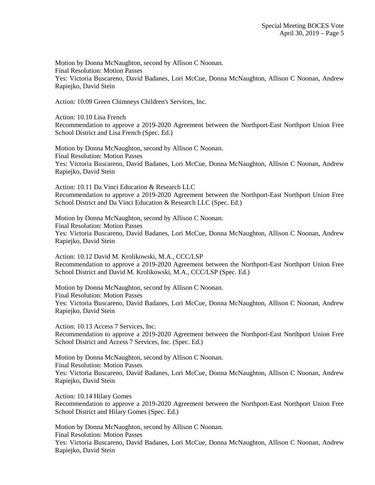Motion by Donna McNaughton, second by Allison C Noonan. Final Resolution: Motion Passes Yes: Victoria Buscareno, David Badanes, Lori McCue, Donna McNaughton, Allison C Noonan, Andrew Rapiejko, David Stein

Action: 10.09 Green Chimneys Children's Services, Inc.

Action: 10.10 Lisa French Recommendation to approve a 2019-2020 Agreement between the Northport-East Northport Union Free School District and Lisa French (Spec. Ed.)

Motion by Donna McNaughton, second by Allison C Noonan. Final Resolution: Motion Passes Yes: Victoria Buscareno, David Badanes, Lori McCue, Donna McNaughton, Allison C Noonan, Andrew Rapiejko, David Stein

Action: 10.11 Da Vinci Education & Research LLC Recommendation to approve a 2019-2020 Agreement between the Northport-East Northport Union Free School District and Da Vinci Education & Research LLC (Spec. Ed.)

Motion by Donna McNaughton, second by Allison C Noonan. Final Resolution: Motion Passes Yes: Victoria Buscareno, David Badanes, Lori McCue, Donna McNaughton, Allison C Noonan, Andrew Rapiejko, David Stein

Action: 10.12 David M. Krolikowski, M.A., CCC/LSP Recommendation to approve a 2019-2020 Agreement between the Northport-East Northport Union Free School District and David M. Krolikowski, M.A., CCC/LSP (Spec. Ed.)

Motion by Donna McNaughton, second by Allison C Noonan. Final Resolution: Motion Passes Yes: Victoria Buscareno, David Badanes, Lori McCue, Donna McNaughton, Allison C Noonan, Andrew Rapiejko, David Stein

Action: 10.13 Access 7 Services, Inc. Recommendation to approve a 2019-2020 Agreement between the Northport-East Northport Union Free School District and Access 7 Services, Inc. (Spec. Ed.)

Motion by Donna McNaughton, second by Allison C Noonan. Final Resolution: Motion Passes Yes: Victoria Buscareno, David Badanes, Lori McCue, Donna McNaughton, Allison C Noonan, Andrew Rapiejko, David Stein

Action: 10.14 Hilary Gomes Recommendation to approve a 2019-2020 Agreement between the Northport-East Northport Union Free School District and Hilary Gomes (Spec. Ed.)

Motion by Donna McNaughton, second by Allison C Noonan. Final Resolution: Motion Passes Yes: Victoria Buscareno, David Badanes, Lori McCue, Donna McNaughton, Allison C Noonan, Andrew Rapiejko, David Stein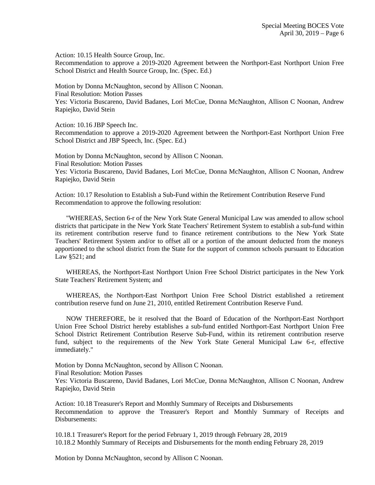Action: 10.15 Health Source Group, Inc. Recommendation to approve a 2019-2020 Agreement between the Northport-East Northport Union Free School District and Health Source Group, Inc. (Spec. Ed.)

Motion by Donna McNaughton, second by Allison C Noonan. Final Resolution: Motion Passes Yes: Victoria Buscareno, David Badanes, Lori McCue, Donna McNaughton, Allison C Noonan, Andrew Rapiejko, David Stein

Action: 10.16 JBP Speech Inc. Recommendation to approve a 2019-2020 Agreement between the Northport-East Northport Union Free School District and JBP Speech, Inc. (Spec. Ed.)

Motion by Donna McNaughton, second by Allison C Noonan. Final Resolution: Motion Passes Yes: Victoria Buscareno, David Badanes, Lori McCue, Donna McNaughton, Allison C Noonan, Andrew Rapiejko, David Stein

Action: 10.17 Resolution to Establish a Sub-Fund within the Retirement Contribution Reserve Fund Recommendation to approve the following resolution:

 "WHEREAS, Section 6-r of the New York State General Municipal Law was amended to allow school districts that participate in the New York State Teachers' Retirement System to establish a sub-fund within its retirement contribution reserve fund to finance retirement contributions to the New York State Teachers' Retirement System and/or to offset all or a portion of the amount deducted from the moneys apportioned to the school district from the State for the support of common schools pursuant to Education Law §521; and

 WHEREAS, the Northport-East Northport Union Free School District participates in the New York State Teachers' Retirement System; and

 WHEREAS, the Northport-East Northport Union Free School District established a retirement contribution reserve fund on June 21, 2010, entitled Retirement Contribution Reserve Fund.

 NOW THEREFORE, be it resolved that the Board of Education of the Northport-East Northport Union Free School District hereby establishes a sub-fund entitled Northport-East Northport Union Free School District Retirement Contribution Reserve Sub-Fund, within its retirement contribution reserve fund, subject to the requirements of the New York State General Municipal Law 6-r, effective immediately."

Motion by Donna McNaughton, second by Allison C Noonan.

Final Resolution: Motion Passes

Yes: Victoria Buscareno, David Badanes, Lori McCue, Donna McNaughton, Allison C Noonan, Andrew Rapiejko, David Stein

Action: 10.18 Treasurer's Report and Monthly Summary of Receipts and Disbursements Recommendation to approve the Treasurer's Report and Monthly Summary of Receipts and Disbursements:

10.18.1 Treasurer's Report for the period February 1, 2019 through February 28, 2019 10.18.2 Monthly Summary of Receipts and Disbursements for the month ending February 28, 2019

Motion by Donna McNaughton, second by Allison C Noonan.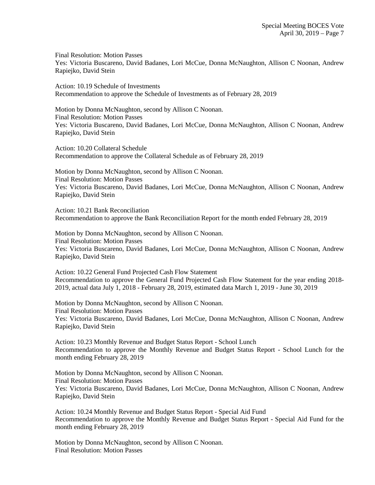Final Resolution: Motion Passes Yes: Victoria Buscareno, David Badanes, Lori McCue, Donna McNaughton, Allison C Noonan, Andrew Rapiejko, David Stein

Action: 10.19 Schedule of Investments Recommendation to approve the Schedule of Investments as of February 28, 2019

Motion by Donna McNaughton, second by Allison C Noonan. Final Resolution: Motion Passes Yes: Victoria Buscareno, David Badanes, Lori McCue, Donna McNaughton, Allison C Noonan, Andrew Rapiejko, David Stein

Action: 10.20 Collateral Schedule Recommendation to approve the Collateral Schedule as of February 28, 2019

Motion by Donna McNaughton, second by Allison C Noonan. Final Resolution: Motion Passes Yes: Victoria Buscareno, David Badanes, Lori McCue, Donna McNaughton, Allison C Noonan, Andrew Rapiejko, David Stein

Action: 10.21 Bank Reconciliation Recommendation to approve the Bank Reconciliation Report for the month ended February 28, 2019

Motion by Donna McNaughton, second by Allison C Noonan. Final Resolution: Motion Passes Yes: Victoria Buscareno, David Badanes, Lori McCue, Donna McNaughton, Allison C Noonan, Andrew Rapiejko, David Stein

Action: 10.22 General Fund Projected Cash Flow Statement Recommendation to approve the General Fund Projected Cash Flow Statement for the year ending 2018- 2019, actual data July 1, 2018 - February 28, 2019, estimated data March 1, 2019 - June 30, 2019

Motion by Donna McNaughton, second by Allison C Noonan. Final Resolution: Motion Passes Yes: Victoria Buscareno, David Badanes, Lori McCue, Donna McNaughton, Allison C Noonan, Andrew Rapiejko, David Stein

Action: 10.23 Monthly Revenue and Budget Status Report - School Lunch Recommendation to approve the Monthly Revenue and Budget Status Report - School Lunch for the month ending February 28, 2019

Motion by Donna McNaughton, second by Allison C Noonan. Final Resolution: Motion Passes Yes: Victoria Buscareno, David Badanes, Lori McCue, Donna McNaughton, Allison C Noonan, Andrew Rapiejko, David Stein

Action: 10.24 Monthly Revenue and Budget Status Report - Special Aid Fund Recommendation to approve the Monthly Revenue and Budget Status Report - Special Aid Fund for the month ending February 28, 2019

Motion by Donna McNaughton, second by Allison C Noonan. Final Resolution: Motion Passes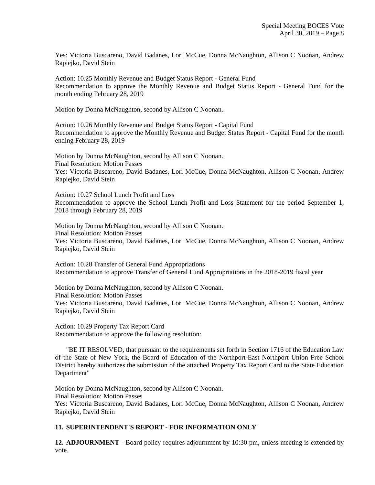Yes: Victoria Buscareno, David Badanes, Lori McCue, Donna McNaughton, Allison C Noonan, Andrew Rapiejko, David Stein

Action: 10.25 Monthly Revenue and Budget Status Report - General Fund Recommendation to approve the Monthly Revenue and Budget Status Report - General Fund for the month ending February 28, 2019

Motion by Donna McNaughton, second by Allison C Noonan.

Action: 10.26 Monthly Revenue and Budget Status Report - Capital Fund Recommendation to approve the Monthly Revenue and Budget Status Report - Capital Fund for the month ending February 28, 2019

Motion by Donna McNaughton, second by Allison C Noonan. Final Resolution: Motion Passes Yes: Victoria Buscareno, David Badanes, Lori McCue, Donna McNaughton, Allison C Noonan, Andrew Rapiejko, David Stein

Action: 10.27 School Lunch Profit and Loss Recommendation to approve the School Lunch Profit and Loss Statement for the period September 1, 2018 through February 28, 2019

Motion by Donna McNaughton, second by Allison C Noonan. Final Resolution: Motion Passes Yes: Victoria Buscareno, David Badanes, Lori McCue, Donna McNaughton, Allison C Noonan, Andrew Rapiejko, David Stein

Action: 10.28 Transfer of General Fund Appropriations Recommendation to approve Transfer of General Fund Appropriations in the 2018-2019 fiscal year

Motion by Donna McNaughton, second by Allison C Noonan. Final Resolution: Motion Passes Yes: Victoria Buscareno, David Badanes, Lori McCue, Donna McNaughton, Allison C Noonan, Andrew Rapiejko, David Stein

Action: 10.29 Property Tax Report Card Recommendation to approve the following resolution:

 "BE IT RESOLVED, that pursuant to the requirements set forth in Section 1716 of the Education Law of the State of New York, the Board of Education of the Northport-East Northport Union Free School District hereby authorizes the submission of the attached Property Tax Report Card to the State Education Department"

Motion by Donna McNaughton, second by Allison C Noonan. Final Resolution: Motion Passes Yes: Victoria Buscareno, David Badanes, Lori McCue, Donna McNaughton, Allison C Noonan, Andrew Rapiejko, David Stein

#### **11. SUPERINTENDENT'S REPORT - FOR INFORMATION ONLY**

**12. ADJOURNMENT** - Board policy requires adjournment by 10:30 pm, unless meeting is extended by vote.